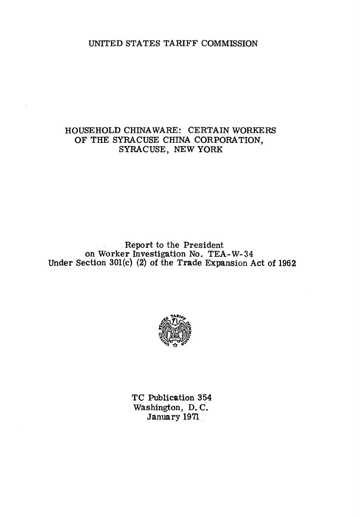# UNITED STATES TARIFF COMMISSION

# HOUSEHOLD CHINA WARE: CERTAIN WORKERS OF THE SYRACUSE CHINA CORPORATION, SYRACUSE, NEW YORK

# Report to the President on Worker Investigation No. TEA-W-34 Under Section 30l(c) (2) of the Trade Expansion Act of 1962



TC Publication 354 Washington, D. C. January 1971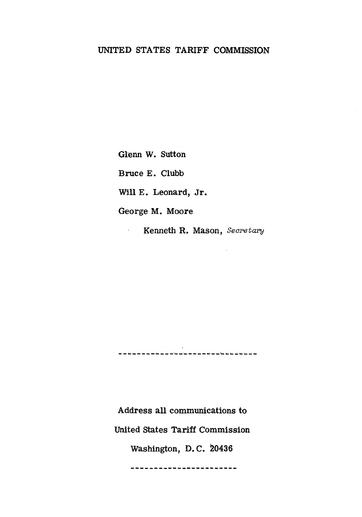# UNITED STATES TARIFF COMMISSION

Glenn W. Sutton

Bruce E. Clubb

Will E. Leonard, Jr.

George M. Moore

 $\mathcal{L}^{(1)}$ 

Kenneth R. Mason, *Secretary* 

Address all communications to United States Tariff Commission Washington, D. C. 20436

------------------------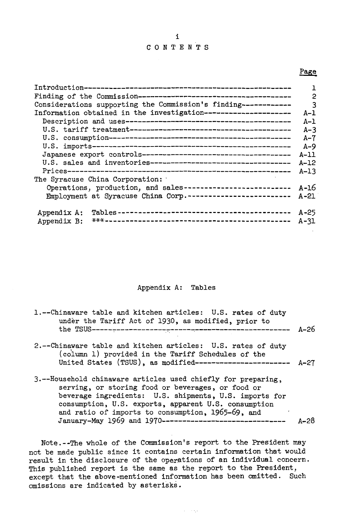### C 0 N T E N T S

### Page

|                                                                | 1        |
|----------------------------------------------------------------|----------|
|                                                                | 2        |
| Considerations supporting the Commission's finding------------ | 3        |
| Information obtained in the investigation--------------------- | $A-1$    |
|                                                                | $A-1$    |
|                                                                | $A-3$    |
|                                                                | $A-7$    |
|                                                                | $A - 9$  |
|                                                                | $A-11$   |
| U.S. sales and inventories----------------------------------   | $A-12$   |
|                                                                | $A-13$   |
| The Syracuse China Corporation:                                |          |
| Operations, production, and sales--------------------------    | $A - 16$ |
| Employment at Syracuse China Corp. -------------------------   | $A - 21$ |
|                                                                |          |
| Appendix A:                                                    | $A - 25$ |
| Appendix B:                                                    | $A - 31$ |
|                                                                |          |

### Appendix A: Tables

| 1.--Chinaware table and kitchen articles: U.S. rates of duty<br>under the Tariff Act of 1930, as modified, prior to                                                                                                                                                                                                                                       | $A - 26$ |
|-----------------------------------------------------------------------------------------------------------------------------------------------------------------------------------------------------------------------------------------------------------------------------------------------------------------------------------------------------------|----------|
| 2.--Chinaware table and kitchen articles: U.S. rates of duty<br>(column 1) provided in the Tariff Schedules of the<br>United States (TSUS), as modified-----------------------                                                                                                                                                                            | $A - 27$ |
| 3.--Household chinaware articles used chiefly for preparing,<br>serving, or storing food or beverages, or food or<br>beverage ingredients: U.S. shipments, U.S. imports for<br>consumption, U.S. exports, apparent U.S. consumption<br>and ratio of imports to consumption, 1965-69, and<br>٠<br>January-May 1969 and 1970------------------------------- | $A - 28$ |

Note.--The whole of the Commission's report to the President may not be made public since it contains certain infonnation that would result in the disclosure of the operations of an individual concern. This published report is the same as the report to the President, except that the above-mentioned information has been omitted. Such omissions are indicated by asterisks.

 $\alpha_{\rm eff}$  , and  $\alpha_{\rm eff}$ 

#### i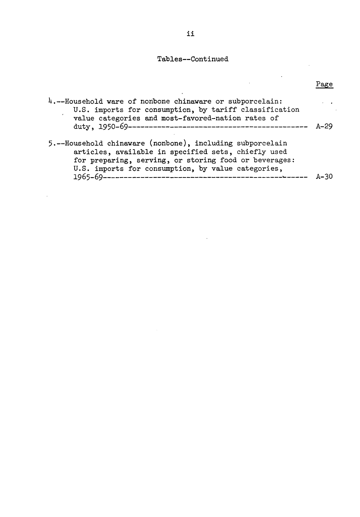## Tables--Continued

 $\ddot{\phantom{a}}$ 

 $\mathbf{r}$ 

 $\sim 10$ 

Page

 $\ddot{\phantom{0}}$ 

 $\ddot{\phantom{a}}$ 

| 4.--Household ware of nonbone chinaware or subporcelain:<br>U.S. imports for consumption, by tariff classification<br>value categories and most-favored-nation rates of                                                         | $A - 29$ |
|---------------------------------------------------------------------------------------------------------------------------------------------------------------------------------------------------------------------------------|----------|
| 5.--Household chinaware (nonbone), including subporcelain<br>articles, available in specified sets, chiefly used<br>for preparing, serving, or storing food or beverages:<br>U.S. imports for consumption, by value categories, | $A - 30$ |

l,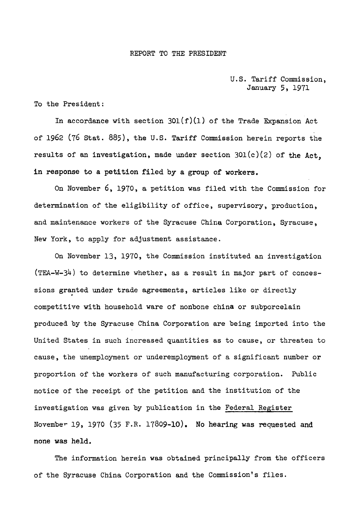#### REPORT TO THE PRESIDENT

### U.S. Tariff Commission, January 5, 1971

#### To the President:

In accordance with section  $301(f)(1)$  of the Trade Expansion Act of 1962 (76 Stat. 885), the U.S. Tariff Commission herein reports the results of an investigation, made under section  $301(c)(2)$  of the Act. in response to a petition filed by a group of workers.

On November 6, 1970, a petition was filed with the Commission for determination of the eligibility of office, supervisory, production, and maintenance workers of the Syracuse China Corporation, Syracuse, New York, to apply for adjustment assistance.

On November 13, 1970, the Commission instituted an investigation (TEA-W-34) to determine whether, as a result in major part of concessions granted under trade agreements, articles like or directly . competitive with household ware of nonbone china or subporcelain produced by the Syracuse China Corporation are being imported into the United States in such increased quantities as to cause, or threaten to cause, the unemployment or underemployment of a significant number or proportion of the workers of such manufacturing corporation. Public notice of the receipt of the petition and the institution of the investigation was given by publication in the Federal Register Novembe~ 19, 1970 (35 F.R. 17809-10). No hearing was requested and none was held.

The information herein was obtained principally from the officers of the Syracuse China Corporation and the Commission's files.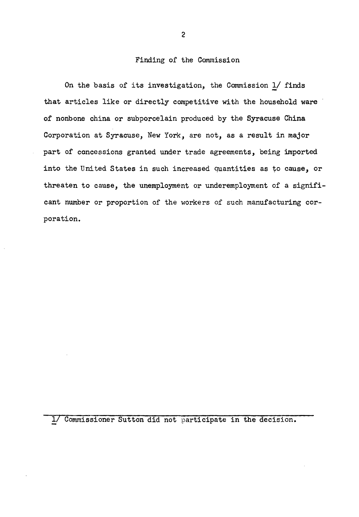#### Finding of the Commission

On the basis of its investigation, the Commission 1/ finds that articles like or directly competitive with the household ware of nonbone china or subporcelain produced by the Syracuse China Corporation at Syracuse, New York, are not, as a result in major part of concessions granted under trade agreements, being imported into the United States in such increased quantities as to cause, or threaten to cause, the unemployment or underemployment of a significant number or proportion of the workers of such manufacturing corporation.

1/ Commissioner Sutton did not participate in the decision.

2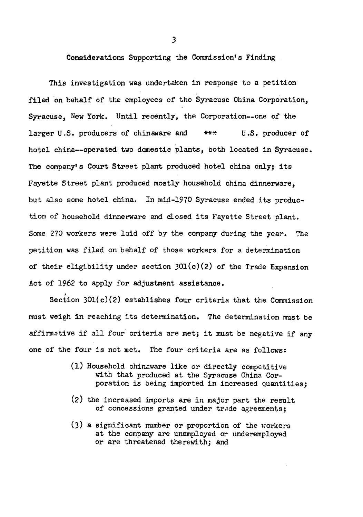Considerations Supporting the Commission's Finding.

This investigation was undertaken in response to a petition filed on behalf of the employees of the Syracuse China Corporation. Syracuse, New York. Until recently, the Corporation--one of the larger U.S. producers of chinaware and \*\*\* U.S. producer of hotel china--operated two domestic plants, both located in Syracuse. The company's Court Street plant produced hotel china only; its Fayette Street plant produced mostly household china dinnerware, but also some hotel china. In mid-1970 Syracuse ended its production of household dinnerware and closed its Fayette Street plant. Some 270 workers were laid off by the company during the year. The petition was filed on behalf of those workers for a determination of their eligibility under section  $301(c)(2)$  of the Trade Expansion Act of 1962 to apply for adjustment assistance.

Section  $301(c)(2)$  establishes four criteria that the Commission must weigh in reaching its determination. The determination must be affinnative if all four criteria are met; it must be negative if any one of the four is not met. The four criteria are as follows:

- (1) Household chinaware like or directly competitive with that produced at the Syracuse China Corporation is being imported in increased quantities;
- (2) the increased imports are in major part the result of concessions granted under trade agreements:
- (3) a significant number or proportion of the workers at the company are unemployed or underemployed or are threatened therewith; and

*3*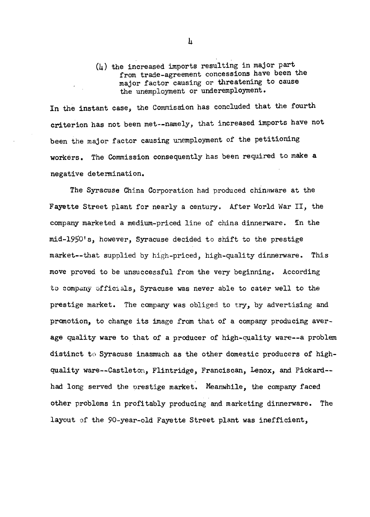(4) the increased imports resulting in major part from trade-agreement concessions have been the major factor causing or threatening to cause the unemployment or underemployment.

In the instant case, the Commission has concluded that the fourth criterion has not been met--namely, that increased imports have not been the major factor causing unemployment of the petitioning workers. The Commission consequently has been required to make a negative detennination.

The Syracuse China Corporation had produced chinaware at the Fayette Street plant for nearly a century. After World War II, the company marketed a medium-priced line of china dinnerware. In the mid-1950's, however, Syracuse decided to shift to the prestige market--that supplied by high-priced, high-quality dinnerware. This move proved to be unsuccessful from the very beginning. According to company of ficl als, Syracuse was never able to cater well to the prestige market. The company was obliged to try, by advertising and promotion, to change its image from that of a company producing average quality ware to that of a producer of high-quality ware--a problem distinct to Syracuse inasmuch as the other domestic producers of highquality ware--Castleton, Flintridge, Franciscan, Lenox, and Pickard- had long served the orestige market. Meanwhile, the company faced other problems in profitably producing and marketing dinnerware. The layout of the 90-year-old Fayette Street plant was inefficient,

 $\mathbf{h}$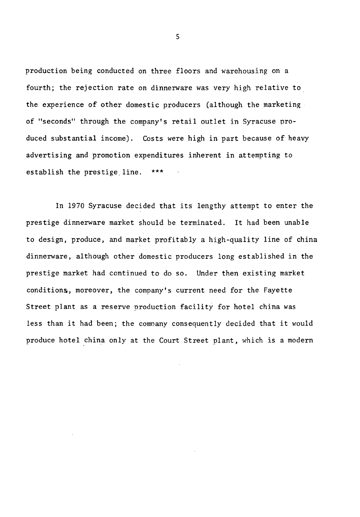production being conducted on three floors and warehousing on a fourth; the rejection rate on dinnerware was very high relative to the experience of other domestic producers (although the marketing of "seconds" through the company's retail outlet in Syracuse produced substantial income). Costs were high in part because of heavy advertising and promotion expenditures inherent in attempting to establish the prestige line.

In 1970 Syracuse decided that its lengthy attempt to enter the prestige dinnerware market should be terminated. It had been unable to design, produce, and market profitably a high-quality line of china dinnerware, although other domestic producers long established in the prestige market had continued to do so. Under then existing market conditions, moreover, the company's current need for the Fayette Street plant as a reserve production facility for hotel china was less than it had been; the company consequently decided that it would produce hotel china only at the Court Street plant, which is a modern

5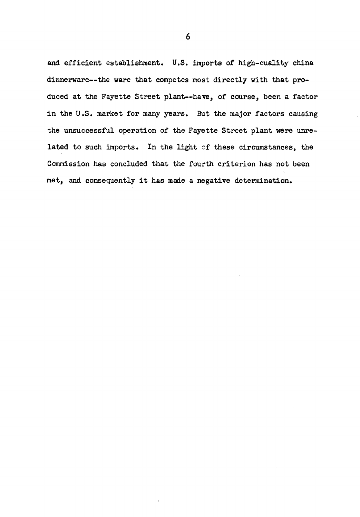and efficient establishment. U.S. imports of high-cuality china dinnerware--the ware that competes most directly with that produced at the Fayette Street plant--have, of course, been a factor in the U.S. market for many years. But the major factors causing the unsuccessful operation of the Fayette Street plant were unrelated to such imports. In the light of these circumstances, the Commission has concluded that the fourth criterion has not been met, and consequently it has made a negative determination.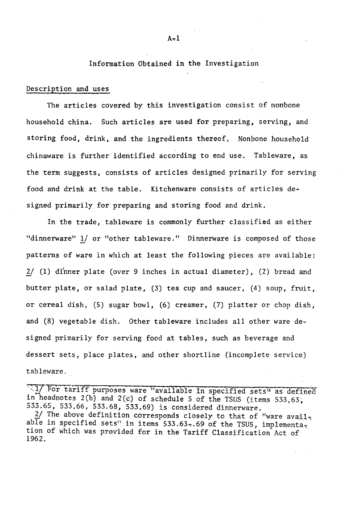Information Obtained in the Investigation

#### Description and uses

The articles covered by this investigation consist of nonbone household china. Such articles are used for preparing, serving, and storing food, drink, and the ingredients thereof, Nonbone household chinaware is further identified according to end use, Tableware, as the term suggests, consists of articles designed primarily for serving food and drink at the table. Kitchenware consists of articles de~ signed primarily for preparing and storing food and drink.

In the trade, tableware is commonly further classified as either "dinnerware" 1/ or "other tableware." Dinnerware is composed of those patterns of ware in which at least the following pieces are available: 2/ (1) dinner plate (over 9 inches in actual diameter), (2) bread and butter plate, or salad plate, (3) tea cup and saucer, (4) soup, fruit, or cereal dish, (5) sugar bowl, (6) creamer, (7) platter or chop dish, and (8) vegetable dish. Other tableware includes all other ware designed primarily for serving food at tables, such as beverage and dessert sets, place plates, and other shortline (incomplete service) tableware.

"If For tariff purposes ware "available in specified sets" as defined in headnotes  $2(b)$  and  $2(c)$  of schedule 5 of the TSUS (items 533,63; 533.65, 533.66, 533.68, 533.69) is considered dinnerware,

2/ The above definition corresponds closely to that of "ware avail<sub>3</sub> able in specified sets" in items 533.63.69 of the TSUS, implementa, tion of which was provided for in the Tariff Classification Act of 1962.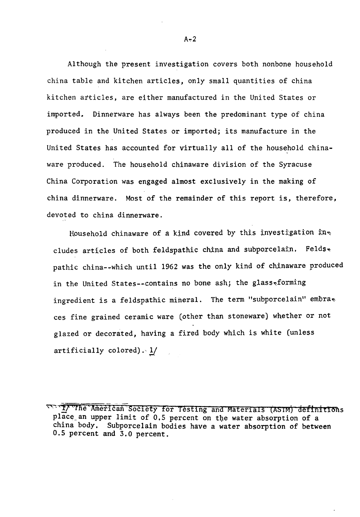Although the present investigation covers both nonbone household china table and kitchen articles, only small quantities of china kitchen atticles, are either manufactured in the United States or imported. Dinnerware has always been the predominant type of china produced in the United States or imported; its manufacture in the United States has accounted for virtually all of the household chinaware produced. The household chinaware division of the Syracuse China Corporation was engaged almost exclusively in the making of china dinnerware. Most of the remainder of this report is, therefore, devoted to china dinnerware.

Household chinaware of a kind covered by this investigation  $\mathfrak{m}_{\infty}$ cludes articles of both feldspathic china and subporcelain. Felds $\star$ pathic china-~which until 1962 was the only kind of chinaware produced in the United States--contains no bone ash; the glass-forming ingredient is a feldspathic mineral. The term "subporcelain" embra ces fine grained ceramic ware (other than stoneware) whether or not glazed or decorated, having a fired body which is white (unless artificially colored). *'1* 

<sup>~</sup> '1/ ''rfie '·Arlietican Society for testing and Matenals (AS IMj def!nitlons place an upper limit of 0.5 percent on the water absorption of a china body, Subporcelain bodies have a water absorption of between 0.5 percent and 3.0 percent.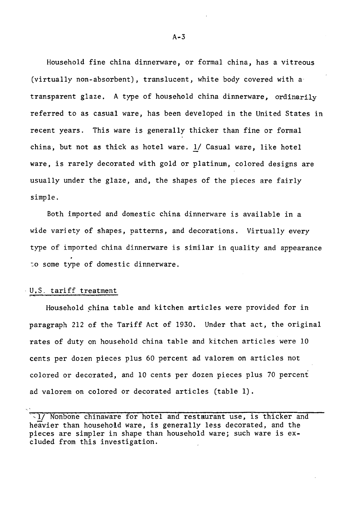Household fine china dinnerware, or formal china, has a vitreous (virtually non-absorbent), translucent, white body covered with a transparent glaze, A type of household china dinnerware, ordinarily referred to as casual ware, has been developed in the United States in recent years. This ware is generally thicker than fine or formal china, but not as thick as hotel ware. 1/ Casual ware, like hotel ware, is rarely decorated with gold or platinum, colored designs are usually under the glaze, and, the shapes of the pieces are fairly simple.

Both imported and domestic china dinnerware is available in a wide variety of shapes, patterns, and decorations. Virtually every type of imported china dinnerware is similar in quality and appearance :o some type of domestic dinnerware.

### U.S. tariff treatment

Household china table and kitchen articles were provided for in paragraph 212 of the Tariff Act of 1930. Under that act, the original rates of duty on household china table and kitchen articles were 10 cents per dozen pieces plus 60 percent ad valorem on articles not colored or decorated, and 10 cents per dozen pieces plus 70 percent ad valorem on colored or decorated articles (table 1).

<sup>·,1/</sup> Nonbone chinaware for hotel and restaurant use, is thicker and heavier than household ware, is generally less decorated, and the pieces are simpler in shape than household ware; such ware is excluded from this investigation.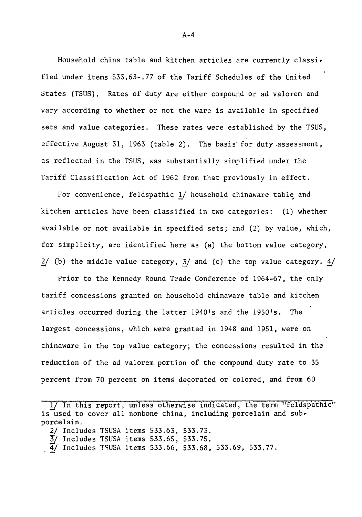Household china table and kitchen articles are currently classified under items 533.63-,77 of the Tariff Schedules of the United States (TSUS), Rates of duty are either compound or ad valorem and vary according to whether or not the ware is available in specified sets and value categories. These rates were established by the TSUS, effective August 31, 1963 (table 2). The basis for duty.assessment, as reflected in the TSUS, was substantially simplified under the Tariff Classification Act of 1962 from that previously in effect.

For convenience, feldspathic  $1/$  household chinaware table and kitchen articles have been classified in two categories: (1) whether available or not available in specified sets; and (2) by value, which, for simplicity, are identified here as (a) the bottom value category, 2/ (b) the middle value category, 3/ and (c) the top value category.  $4/$ 

Prior to the Kennedy Round Trade Conference of 1964~67, the only tariff concessions granted on household chinaware table and kitchen articles occurred during the latter 1940's and the 1950's. The largest concessions, which were granted in 1948 and 1951, were on chinaware in the top value category; the concessions resulted in the reduction of the ad valorem portion of the compound duty rate to 35 percent from 70 percent on items decorated or colored, and from 60

1/ In this report, unless otherwise indicated, the term "feldspathic" is used to cover all nonbone china, including porcelain and subporcelain.

- 2/ Includes TSUSA items 533.63, 533.73.
- 
- $\frac{3}{4}$  Includes TSUSA items 533.65, 533.75.<br> $\frac{4}{4}$  Includes TSUSA items 533.66, 533.68, 533.69, 533.77.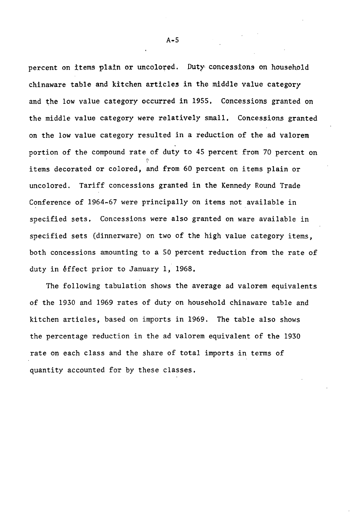percent on items plain or uncolored. Duty concessions on household chinaware table and kitchen articles in the middle value category and the low value category occurred in 1955, Concessions granted on the middle value category were relatively small. Concessions granted on the low value category resulted in a reduction of the ad valorem portion of the compound rate of duty to 45 percent from 70 percent on  $\sqrt{2}$ items decorated or colored, and from 60 percent on items plain or uncolored. Tariff concessions granted in the Kennedy Round Trade Conference of 1964-67 were principally on items not available in specified sets. Concessions were also granted on ware available in specified sets (dinnerware) on two of the high value category items, both concessions amounting to a SO percent reduction from the rate of duty in *éffect* prior to January 1, 1968.

The following tabulation shows the average ad valorem equivalents of the 1930 and 1969 rates of duty on household chinaware table and kitchen artiales, based on imports in 1969. The table also shows the percentage reduction in the ad valorem equivalent of the 1930 rate on each class and the share of total imports in terms of quantity accounted for by these classes.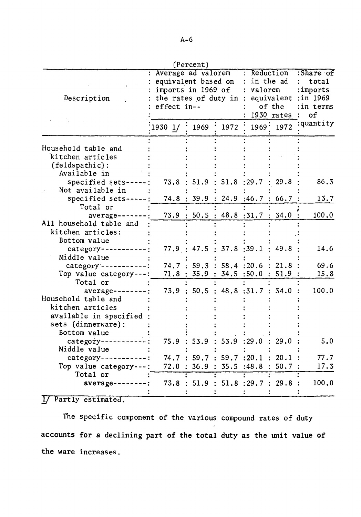|  | ×<br>I |
|--|--------|
|  |        |

| (Percent)               |                        |                             |                           |                     |            |                       |  |  |  |
|-------------------------|------------------------|-----------------------------|---------------------------|---------------------|------------|-----------------------|--|--|--|
|                         | Average ad valorem     |                             |                           |                     | Reduction  | :Share of             |  |  |  |
|                         | equivalent based on    |                             |                           |                     | in the ad  | $\mathbf{r}$<br>total |  |  |  |
|                         | imports in 1969 of     |                             |                           | valorem             |            | :imports              |  |  |  |
| Description             | the rates of duty in : |                             |                           |                     | equivalent | :in 1969              |  |  |  |
|                         | effect in--            |                             |                           | of the              | :in terms  |                       |  |  |  |
|                         |                        |                             |                           |                     | 1930 rates | of                    |  |  |  |
|                         | 19301/                 | 1969                        | 1972                      | 1969.               | 1972       | :quantity             |  |  |  |
|                         |                        |                             |                           |                     |            |                       |  |  |  |
| Household table and     |                        |                             |                           |                     |            |                       |  |  |  |
| kitchen articles        |                        |                             |                           |                     |            |                       |  |  |  |
| (feldspathic):          |                        |                             |                           |                     |            |                       |  |  |  |
| Available in            |                        |                             |                           |                     |            |                       |  |  |  |
| specified sets-----     | 73.8                   | : 51.9                      | $51.8 \t:}29.7$           |                     | 29.8       | 86.3                  |  |  |  |
| Not available in        |                        |                             |                           |                     |            |                       |  |  |  |
| specified sets-----     | 74.8                   | : 39.9 :                    |                           | $24.9$ :46.7        | 66.7       | 13.7                  |  |  |  |
| Total or                |                        |                             |                           |                     |            |                       |  |  |  |
| average------           |                        | 73.9 : 50.5 : 48.8 : 31.7 : |                           |                     | 34.0       | 100.0                 |  |  |  |
| All household table and |                        |                             |                           |                     |            |                       |  |  |  |
| kitchen articles:       |                        |                             |                           |                     |            |                       |  |  |  |
| Bottom value            |                        |                             |                           |                     |            |                       |  |  |  |
| category ----------     |                        | 77.9 : 47.5 : 37.8 : 39.1   |                           |                     | 49.8       | 14.6                  |  |  |  |
| Middle value            |                        |                             |                           |                     |            |                       |  |  |  |
| category ---------      |                        | 74.7 : 59.3 :               |                           | 58.4:20.6:          | 21.8       | 69.6                  |  |  |  |
| Top value category ---: | 71.8:                  |                             | 35.9 : 34.5 : 50.0 : 51.9 |                     |            | 15.8                  |  |  |  |
| Total or                |                        |                             |                           |                     |            |                       |  |  |  |
| average---              | 73.9:                  | 50.5                        | : 48.8 : 31.7             |                     | : 34.0     | 100.0                 |  |  |  |
| Household table and     |                        |                             |                           |                     |            |                       |  |  |  |
| kitchen articles        |                        |                             |                           |                     |            |                       |  |  |  |
| available in specified  |                        |                             |                           |                     |            |                       |  |  |  |
| sets (dinnerware):      |                        |                             |                           |                     |            |                       |  |  |  |
| Bottom value            |                        |                             |                           |                     |            |                       |  |  |  |
| category ------         |                        | 75.9 : 53.9                 |                           | $53.9$ :29.0 : 29.0 |            | 5.0                   |  |  |  |
| Middle value            |                        |                             |                           |                     |            |                       |  |  |  |
| category -----------:   |                        | 74.7 : 59.7 : 59.7 : 20.1   |                           |                     | 20.1       | 77.7                  |  |  |  |
| Top value category ---: | 72.0                   |                             | 36.9 : 35.5 : 48.8        |                     | 50.7       | 17.3                  |  |  |  |
| Total or                |                        |                             |                           |                     |            |                       |  |  |  |
| average--               |                        | 73.8 : 51.9 : 51.8 : 29.7 : |                           |                     | 29.8       | 100.0                 |  |  |  |
|                         |                        |                             |                           |                     |            |                       |  |  |  |
|                         |                        |                             |                           |                     |            |                       |  |  |  |

1/ Partly estimated.

The specific component of the various compound rates of duty accounts for a declining part of the total duty as the unit value of the ware increases.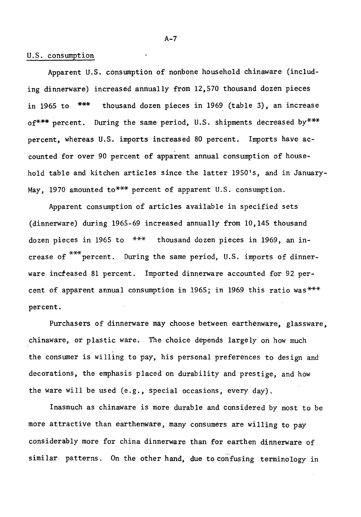#### U.S. consumption

Apparent U.S. consumption of nonbone household chinaware (including dinnerware) increased annually from 12,570 thousand dozen pieces in 1965 to \*\*\* thousand dozen pieces in 1969. (table *3),* an increase of\*\*\* percent. During the same period, U.S. shipments decreased by\*\*\* percent, whereas U.S. imports increased 80 percent. Imports have ac counted for over 90 percent of apparent annual consumption of household table and kitchen articles since the latter 1950's, and in January-May, 1970 amounted to\*\*\* percent of apparent U.S. consumption.

Apparent consumption of articles available in specified sets (dinnerware) during 1965-69 increased annually from 10,145 thousand dozen pieces in 1965 to \*\*\* thousand dozen pieces in 1969, an in crease of  $***$  percent. During the same period, U.S. imports of dinnerware increased 81 percent. Imported dinnerware accounted for 92 percent of apparent annual consumption in 1965; in 1969 this ratio was\*\*\* percent.

Purchasers of dinnerware may choose between earthenware, glassware, chinaware, or plastic ware. The choice depends largely on how much - the consumer is willing to pay, his personal preferences to design and decorations, the emphasis placed on durability and prestige, and how the ware will be used (e.g., special occasions, every day).

Inasmuch as chinaware is more durable and considered by most to be more attractive than earthenware, many consumers are willing to pay considerably more for china dinnerware than for earthen dinnerware of similar patterns. On the other hand, due to confusing terminology in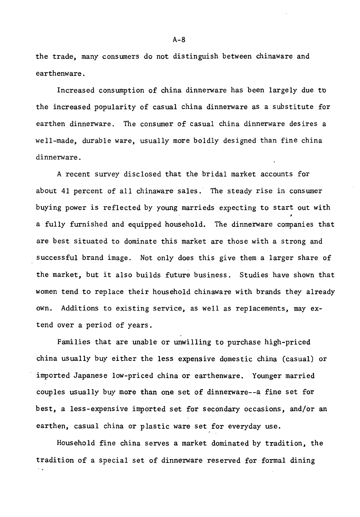the trade, many consumers do not distinguish between chinaware and earthenware.

Increased consumption of china dinnerware has been largely due tb the increased popularity of casual china dinnerware as a substitute for earthen dinnerware. The consumer of casual china dinnerware desires a well-made, durable ware, usually more boldly designed than fine china dinnerware.

A recent survey disclosed that the bridal market accounts for about 41 percent of all chinaware sales. The steady rise in consumer buying power is reflected by young marrieds expecting to start out with a fully furnished and equipped household. The dinnerware companies that are best situated to dominate this market are those with a strong and successful brand image. Not only does this give them a larger share of the market, but it also builds future business. Studies have shown that women tend to replace their household chinaware with brands they already own. Additions to existing service, as well as replacements, may extend over a period of years.

Families that are unable or unwilling to purchase high-priced china usually buy either the less expensive domestic china (casual) or imported Japanese low-priced china or earthenware. Younger married couples usually buy more than one set of dinnerware--a fine set for best, a less-expensive imported set for secondary occasions, and/or an earthen, casual china or plastic ware set for everyday use.

Household fine china serves a market dominated by tradition, the tradition of a special set of dinnerware reserved for formal dining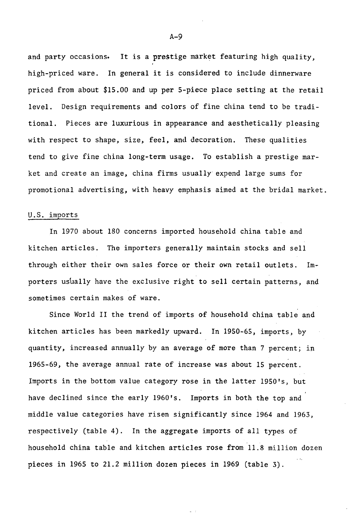and party occasions. It is a prestige market featuring high quality, high-priced ware. In general it is considered to include dinnerware priced from about \$15.00 and up per 5-piece place setting at the retail level. Design requirements and colors of fine china tend to be traditional. Pieces are luxurious in appearance and aesthetically pleasing with respect to shape, size, feel, and decoration. These qualities tend to give fine china long-term usqge. To establish a prestige market and create an image, china firms usually expend large sums for promotional advertising, with heavy emphasis aimed at the bridal market.

#### U.S. imports

In 1970 about 180 concerns imported household china table and kitchen articles. The importers generally maintain stocks and sell through either their own sales force or their own retail outlets. Importers usually have the exclusive right to sell certain patterns, and sometimes certain makes of ware.

Since World II the trend of imports of household china table and kitchen articles has been markedly upward. In 1950-65, imports, by quantity, increased annually by an average of more than 7 percent; in 1965-69, the average annual rate of increase was about 15 percent. Imports in the bottom value category rose in the latter 1950's, but have declined since the early 1960's. Imports in both the top and middle value categories have risen significantly since 1964 and 1963, respectively (table 4). In the aggregate imports of all types of household china table and kitchen articles rose from 11.8 million dozen pieces in 1965 to 21.2 million dozen pieces in 1969 (table 3).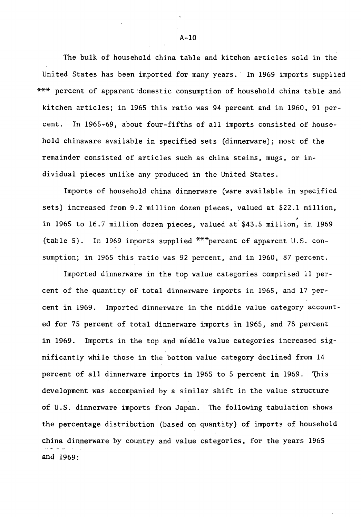The bulk of household china table and kitchen articles sold in the United States has been imported for many years.· In 1969 imports supplied \*\*\* percent of apparent :domestic consumption of household china table and kitchen articles; in 1965 this ratio was 94 percent and in 1960, 91 percent. In 1965~69, about four~fifths of all imports consisted of household chinaware available in specified sets (dinnerware); most of the remainder consisted of articles such as china steins, *mugs,* or individual pieces unlike any produced in the United States.

Imports of household china dinnerware (ware available in specified sets) increased from 9.2 million dozen pieces, valued at \$22.1 million, , in 1965 to 16.7 million dozen pieces, valued at \$43.5 million, in 1969 (table 5). In 1969 imports supplied  $***$  percent of apparent U.S. consumption; in 1965 this ratio was 92 percent, and in 1960, 87 percent.

Imported dinnerware in the top value categories comprised 11 percent of the quantity of total dinnerware imports in 1965, and 17 percent in 1969. Imported dinnerware in the middle value category accounted for 75 percent of total dinnerware imports in 1965, and 78 percent in 1969. Imports in the top and middle value categories increased significantly while those in the bottom value category declined from 14 percent of all dinnerware imports in 1965 to 5 percent in 1969. This development was accompanied by a similar shift in the value structure of U.S. dinnerware imports from Japan. The following tabulation shows the percentage distribution (based on quantity) of imports of household china dinnerware by country and value categories, for the years 1965 and 1969:

 $\cdot$ A-10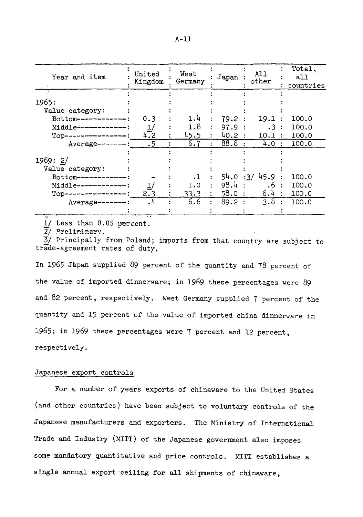| Year and item        | United<br>Kingdom | West<br>Germany | Japan    | A11<br>other |                | Total,<br>all<br>countries |
|----------------------|-------------------|-----------------|----------|--------------|----------------|----------------------------|
|                      |                   |                 |          |              |                |                            |
| 1965:                |                   |                 |          |              |                |                            |
| Value category:      |                   |                 |          |              |                |                            |
| Bottom--------       | 0.3               | 1.4             | 79.2:    | 19.1         |                | 100.0                      |
| Middle ------------: |                   | 1.8             | 97.9 :   | .3 :         |                | 100.0                      |
| $Top-$               | 4.2               | 45.5            | 40.2     | 10.1         | $\ddot{\cdot}$ | 100.0                      |
| $Average-----:$      | .5                | 6.7             | 88.8     | 4.0          | $\cdot$        | 100.0                      |
|                      |                   |                 |          |              |                |                            |
| 1969:2/              |                   |                 |          |              |                |                            |
| Value category:      |                   |                 |          |              |                |                            |
| $Bottom---------$    |                   | .1              | 54.0 :3/ | 45.9         |                | 100.0                      |
| Middle-----------    |                   | 1.0             | 98.4     | .6 :         |                | 100.0                      |
| $Top---$             | 2.3               | 33.3            | 58.0     | 6.4:         |                | 100.0                      |
| $Average-----$       | . 4               | 6.6             | 89.2     | 3.8          |                | 100.0                      |
|                      |                   |                 |          |              |                |                            |

 $1/$  Less than  $0.05$  percent.

 $\overline{2}$ / Preliminary.

3/ Principally from Poland; imports from that country are subject to trade-agreement rates of duty,

In 1965 Japan supplied 89 percent of the quantity and 78 percent of the value of imported dinnerware; in 1969 these percentages were 89 and 82 percent, respectively. West Germany supplied 7 percent of the quantity and 15 percent of the value of imported china dinnerware in 1965; in 1969 these percentages were 1 percent and 12 percent, respectively.

#### Japanese export controls

For a number of years exports of chinaware to the United States (and other countries) have been subject to voluntary controls of the Japanese manufacturers and exporters. The Ministry of International Trade and Industry (MITI) of the Japanese government also imposes some mandatory quantitative and price controls. MITI establishes a single annual export ceiling for all shipments of chinaware,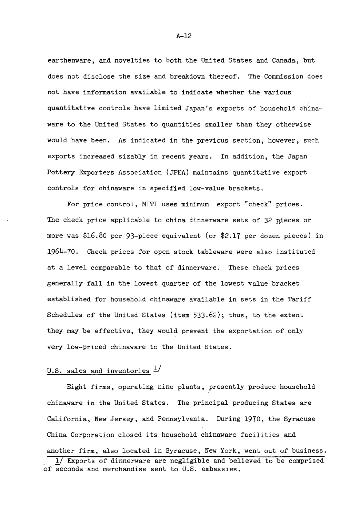earthenware, and novelties to both the United States and Canada, but does not disclose the size and breakdown thereof. The Commission does not have information available to indicate whether the various quantitative controls have limited Japan's exports of household chinaware to the United States to quantities smaller than they otherwise would have been. As indicated in the previous section, however, such exports increased sizably in recent years. In addition, the Japan Pottery Exporters Association (JPEA) maintains quantitative export controls for chinaware in specified low-value brackets.

For price control, MITI uses minimum export "check" prices. The check price applicable to china dinnerware sets of  $32$  pieces or more was \$16.80 per 93-piece equivalent (or \$2.17 per dozen pieces) in 1964-70. Check prices for open stock tableware were also instituted at a level comparable to that of dinnerware. These check prices generally fall in the lowest quarter of the lowest value bracket established for household chinaware available in sets in the Tariff Schedules of the United States (item 533.62); thus, to the extent they may be effective, they would prevent the exportation of only very low-priced chinaware to the United States.

### U.S. sales and inventories  $\frac{1}{2}$

Eight firms, operating nine plants, presently produce household chinaware in the United States. The principal producing States are California, New Jersey, and Pennsylvania. During 1970, the Syracuse China Corporation closed its household chinaware facilities and another firm, also located in Syracuse, New York, went out of business. 1/ Exports of dinnerware are negligible and believed to be comprised of seconds and merchandise sent to U.S. embassies.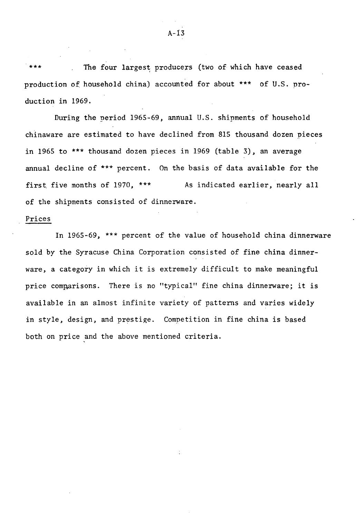The four largest producers (two of which have ceased production of household china) accounted for about \*\*\* of U.S. production in 1969.

During the neriod 1965-69, annual U.S. shipments of household chinaware are estimated to have declined from 815 thousand dozen pieces in 1965 to\*\*\* thousand dozen pieces in 1969 (table *3),* an average annual decline of \*\*\* percent. On the basis of data available for the first. five months of 1970, \*\*\* As indicated earlier, nearly all of the shipments consisted of dinnerware.

#### Prices

In 1965-69, \*\*\* percent of the value of household china dinnerware sold by the Syracuse China Corporation consisted of fine china dinnerware, a category in which it is extremely difficult to make meaningful price comparisons. There is no "typical" fine china dinnerware; it is available in an almost infinite variety of patterns and varies widely in style, design, and prestige. Competition in fine china is based both on price and the above mentioned criteria.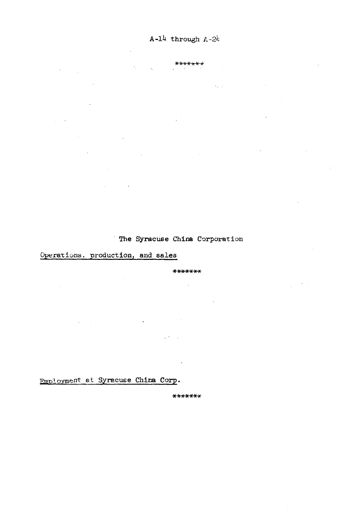#### \*\*\*\*\*\*\*

Ġ,

 $\label{eq:2.1} \mathcal{L}_{\mathcal{A}}(\mathcal{A}_{\mathcal{A}}) = \mathcal{L}_{\mathcal{A}}(\mathcal{A}_{\mathcal{A}})$  $\mathcal{L}_{\text{max}}$  ,  $\mathcal{L}_{\text{max}}$  $\sim$ l.  $\mathcal{A}_{\mathbf{z}}$  and  $\mathcal{A}_{\mathbf{z}}$  are  $\mathcal{A}_{\mathbf{z}}$  . The contribution of  $\mathcal{A}_{\mathbf{z}}$ 

 $\frac{1}{2}$  ,  $\frac{1}{2}$  $\sim 10$  $\mathcal{L}^{\text{max}}$  , where  $\mathcal{L}^{\text{max}}$  $\label{eq:2.1} \mathcal{L}(\mathcal{L}^{\text{max}}_{\text{max}}) = \mathcal{L}(\mathcal{L}^{\text{max}}_{\text{max}})$  $\mathcal{L}^{\mathcal{L}}$  and  $\mathcal{L}^{\mathcal{L}}$  are the set of the set of  $\mathcal{L}^{\mathcal{L}}$  $\sim 10^{11}$  km  $^{-1}$  $\frac{1}{2}$  .

**Contract Contract**  $\label{eq:2.1} \mathcal{L}(\mathcal{L}^{\text{max}}_{\mathcal{L}}(\mathcal{L}^{\text{max}}_{\mathcal{L}})) \leq \mathcal{L}(\mathcal{L}^{\text{max}}_{\mathcal{L}}(\mathcal{L}^{\text{max}}_{\mathcal{L}}))$ 

### The Syracuse China Corporation

# Operations, production, and sales

#### \*\*\*\*\*\*\*

 $\sim 10$  $\sim 10^{11}$  $\frac{1}{2} \left( \frac{1}{2} \right)^2 \left( \frac{1}{2} \right)^2 \left( \frac{1}{2} \right)^2$  $\mathcal{L}^{\mathcal{L}}(\mathcal{L}^{\mathcal{L}})$  and  $\mathcal{L}^{\mathcal{L}}(\mathcal{L}^{\mathcal{L}})$  . The contribution of  $\mathcal{L}^{\mathcal{L}}(\mathcal{L}^{\mathcal{L}})$ 

 $\mathcal{L}^{\mathcal{L}}(\mathcal{L}^{\mathcal{L}}(\mathcal{L}^{\mathcal{L}}(\mathcal{L}^{\mathcal{L}}(\mathcal{L}^{\mathcal{L}}(\mathcal{L}^{\mathcal{L}}(\mathcal{L}^{\mathcal{L}}(\mathcal{L}^{\mathcal{L}}(\mathcal{L}^{\mathcal{L}}(\mathcal{L}^{\mathcal{L}}(\mathcal{L}^{\mathcal{L}}(\mathcal{L}^{\mathcal{L}}(\mathcal{L}^{\mathcal{L}}(\mathcal{L}^{\mathcal{L}}(\mathcal{L}^{\mathcal{L}}(\mathcal{L}^{\mathcal{L}}(\mathcal{L}^{\mathcal{L$ 

Employment at Syracuse China Corp.

 $*******$ 

 $\sim$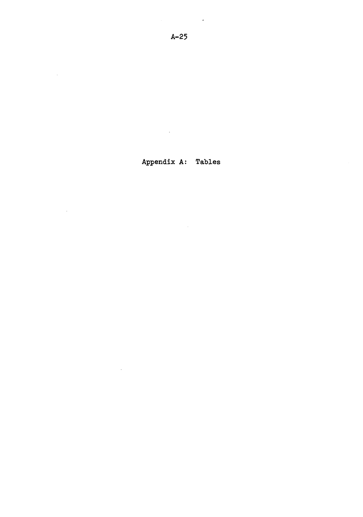$\sim 10$ 

 $\sim$ 

# Appendix A: Tables

 $\mathcal{L}^{\text{max}}_{\text{max}}$  and  $\mathcal{L}^{\text{max}}_{\text{max}}$ 

 $\mathcal{L}_{\mathcal{A}}$  $\sim 10^{-11}$ 

 $\sim$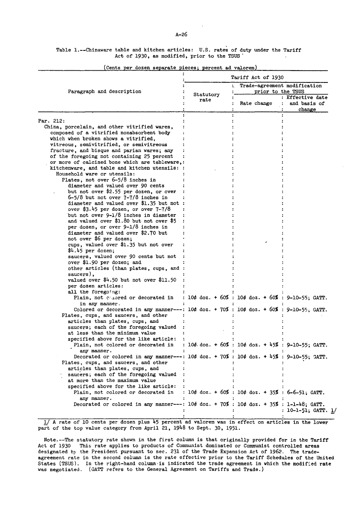Table 1.--Chinaware table and kitchen articles: U.S. rates of duty under the Tariff Act of 1930, as modified, prior to the TSUS'  $\overline{a}$ 

|                                                                                                           |                   | <b>Tariff Act of 1930</b>                                                |                                            |  |  |  |
|-----------------------------------------------------------------------------------------------------------|-------------------|--------------------------------------------------------------------------|--------------------------------------------|--|--|--|
| Paragraph and description                                                                                 |                   | Trade-agreement modification<br>٠.<br>prior to the TSUS                  |                                            |  |  |  |
|                                                                                                           | Statutory<br>rate | Rate change                                                              | : Effective date<br>and basis of<br>change |  |  |  |
| Par. 212:                                                                                                 |                   |                                                                          |                                            |  |  |  |
| China, porcelain, and other vitrified wares,                                                              |                   |                                                                          |                                            |  |  |  |
| composed of a vitrified nonabsorbent body                                                                 |                   |                                                                          |                                            |  |  |  |
| which when broken shows a vitrified,                                                                      |                   |                                                                          |                                            |  |  |  |
| vitreous, semivitrified, or semivitreous                                                                  |                   |                                                                          |                                            |  |  |  |
| fracture, and bisque and parian wares; any                                                                |                   |                                                                          |                                            |  |  |  |
| of the foregoing not containing 25 percent                                                                |                   |                                                                          |                                            |  |  |  |
| or more of calcined bone which are tableware,:                                                            |                   |                                                                          |                                            |  |  |  |
| kitchenware, and table and kitchen utensils: :                                                            |                   |                                                                          |                                            |  |  |  |
| Household ware or utensils:                                                                               |                   |                                                                          |                                            |  |  |  |
| Plates, not over 6-5/8 inches in                                                                          |                   |                                                                          |                                            |  |  |  |
| diameter and valued over 90 cents                                                                         |                   |                                                                          |                                            |  |  |  |
| but not over \$2.55 per dozen, or over                                                                    |                   |                                                                          |                                            |  |  |  |
| $6-5/8$ but not over $7-7/8$ inches in                                                                    |                   |                                                                          |                                            |  |  |  |
| diameter and valued over \$1.35 but not :                                                                 |                   |                                                                          |                                            |  |  |  |
| over \$3.45 per dozen, or over 7-7/8                                                                      |                   |                                                                          |                                            |  |  |  |
| but not over 9-1/8 inches in diameter                                                                     |                   |                                                                          |                                            |  |  |  |
| and valued over \$1.80 but not over \$5                                                                   |                   |                                                                          |                                            |  |  |  |
| per dozen, or over 9-1/8 inches in                                                                        |                   |                                                                          |                                            |  |  |  |
| diameter and valued over \$2.70 but                                                                       |                   |                                                                          |                                            |  |  |  |
| not over \$6 per dozen;                                                                                   |                   |                                                                          |                                            |  |  |  |
| cups, valued over \$1.35 but not over                                                                     |                   |                                                                          |                                            |  |  |  |
| \$4.45 per dozen;<br>saucers, valued over 90 cents but not                                                |                   |                                                                          |                                            |  |  |  |
| over \$1.90 per dozen; and                                                                                |                   |                                                                          |                                            |  |  |  |
| other articles (than plates, cups, and :                                                                  |                   |                                                                          |                                            |  |  |  |
| saucers),                                                                                                 |                   |                                                                          |                                            |  |  |  |
| valued over $$4.50$ but not over $$11.50$                                                                 |                   |                                                                          |                                            |  |  |  |
| per dozen articles:                                                                                       |                   |                                                                          |                                            |  |  |  |
| all the foregoing:                                                                                        |                   |                                                                          |                                            |  |  |  |
| Plain, not concred or decorated in                                                                        |                   | : $10¢$ doz. + $60%$ : $10¢$ doz. + $60%$ : 9-10-55; GATT.               |                                            |  |  |  |
| in any manner.                                                                                            |                   |                                                                          |                                            |  |  |  |
| Colored or decorated in any manner---: $10\phi$ doz. + $70\%$ : $10\phi$ doz. + $60\%$ : 9-10-55, GATT.   |                   |                                                                          |                                            |  |  |  |
| Plates, cups, and saucers, and other                                                                      |                   |                                                                          |                                            |  |  |  |
| articles than plates, cups, and                                                                           |                   |                                                                          |                                            |  |  |  |
| saucers; each of the foregoing valued                                                                     |                   |                                                                          |                                            |  |  |  |
| at less than the minimum value                                                                            |                   |                                                                          |                                            |  |  |  |
| specified above for the like article:                                                                     |                   |                                                                          |                                            |  |  |  |
| Plain, not colored or decorated in                                                                        |                   | : $104 \text{ doz.} + 60\%$ : $104 \text{ doz.} + 45\%$ : 9-10-55; GATT. |                                            |  |  |  |
| any manner.                                                                                               |                   |                                                                          |                                            |  |  |  |
| Decorated or colored in any manner---: $10¢$ doz. + 70% : $10¢$ doz. + 45% : 9-10-55; GATT.               |                   |                                                                          |                                            |  |  |  |
| Plates, cups, and saucers, and other<br>÷                                                                 |                   |                                                                          |                                            |  |  |  |
| articles than plates, cups, and                                                                           |                   |                                                                          |                                            |  |  |  |
| saucers; each of the foregoing valued                                                                     |                   |                                                                          |                                            |  |  |  |
| at more than the maximum value                                                                            |                   |                                                                          |                                            |  |  |  |
| specified above for the like article:<br>÷<br>Plain, not colored or decorated in                          |                   | : 10¢ doz. + 60% : 10¢ doz. + 35% : 6-6-51; GATT.                        |                                            |  |  |  |
| any manner.                                                                                               |                   |                                                                          |                                            |  |  |  |
| Decorated or colored in any manner---: $10\phi$ doz. + $70\%$ : $10\phi$ doz. + $35\%$ : $1-1-48$ ; GATT. |                   |                                                                          | : 10–1–51; GATT. <u>1</u> /                |  |  |  |

(Cents per dozen separate pieces; percent ad valorem)

!/ A rate of 10 cents per dozen plus 45 percent ad valorem was in effect on articles in the lower part of the top value category from April 21, 1948 to Sept. 30, 1951.

Note.--The statutory rate shown in the first column is that originally provided for in the Tariff Act of 1930 This rate applies to products of Communist dominated or Communist controlled areas designated by the President pursuant to sec. 231 of the Trade Expansion Act of 1962. The tradeagreement rate in the second column is the rate effective prior to the Tariff Schedules of the United States (TSUS). In the right-hand column-is indicated the trade agreement in which the modified rate was negotiated. (GATT refers to the General Agreement on Tariffs and Trade.)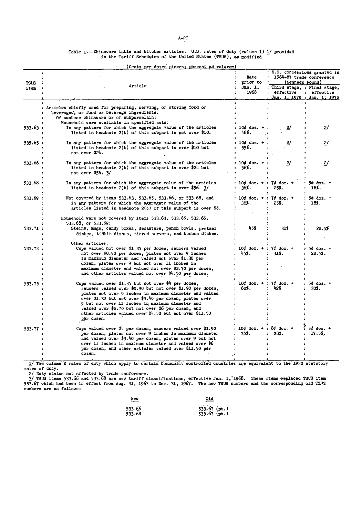Table 2.--Chinavare table and kitchen articles: U.S. rates of duty (column 1) <u>l</u>/ provided<br>in the Tariff Schedules of the United States (TSUS), as modified

|             | (Cents per dozen pieces; percent ad valorem)                                                                                                                                                                                                                                                                                                                                                                            |                                             |                                                                              |                        |  |
|-------------|-------------------------------------------------------------------------------------------------------------------------------------------------------------------------------------------------------------------------------------------------------------------------------------------------------------------------------------------------------------------------------------------------------------------------|---------------------------------------------|------------------------------------------------------------------------------|------------------------|--|
| <b>TSUS</b> |                                                                                                                                                                                                                                                                                                                                                                                                                         | Rate<br>prior to                            | : U.S. concessions granted in<br>1964-67 trade conference<br>(Kennedy Round) |                        |  |
| item        | Article                                                                                                                                                                                                                                                                                                                                                                                                                 | Jan. 1.<br>1968                             | : Third stage, : Final stage,<br>effective<br>Jan. 1, 1970 : Jan. 1, 1972    | : effective            |  |
|             | Articles chiefly used for preparing, serving, or storing food or<br>beverages, or food or beverage ingredients:<br>Of nonbone chinaware or of subporcelain:                                                                                                                                                                                                                                                             |                                             |                                                                              |                        |  |
| 533.63 :    | Household ware available in specified sets:<br>In any pattern for which the aggregate value of the articles<br>listed in headnote $2(b)$ of this subpart is not over \$10.                                                                                                                                                                                                                                              | $10d$ doz. $+$<br>48%.                      | 2/                                                                           | 2/                     |  |
| 535.65 :    | In any pattern for which the aggregate value of the articles<br>listed in headnote $2(b)$ of this subpart is over \$10 but<br>not over \$24.                                                                                                                                                                                                                                                                            | $10¢$ doz. $+$<br>55%.                      | $\mathbf{z}$                                                                 | 2/                     |  |
| 533.66:     | In any pattern for which the aggregate value of the articles<br>listed in headnote $2(b)$ of this subpart is over \$24 but<br>not over \$56. 3/                                                                                                                                                                                                                                                                         | $10d$ doz. $+$<br>36%.                      | $\mathbf{2}$                                                                 | 2/                     |  |
| 533.68 :    | In any pattern for which the aggregate value of the articles<br>listed in headnote $2(b)$ of this subpart is over \$56. 3/                                                                                                                                                                                                                                                                                              | $10¢$ doz. +<br>$\cdot$<br>36%.             | $7¢$ doz. +<br>25%.                                                          | $54$ doz. +<br>18%.    |  |
| 533.69:     | Not covered by items 533.63, 533.65, 533.66, or 533.68, and<br>in any pattern for which the aggregate value of the<br>articles listed in headnote $2(c)$ of this subpart is over \$8.                                                                                                                                                                                                                                   | $10d$ doz. + : 7 $d$ doz. +<br>36 <b>%.</b> | 25%.                                                                         | $5d$ doz. $+$<br>18%.  |  |
|             | Household ware not covered by items 533.63, 533.65, 533.66,<br>533.68, or 533.69:                                                                                                                                                                                                                                                                                                                                       |                                             |                                                                              |                        |  |
| 533.71:     | Steins, mugs, candy boxes, decanters, punch bowls, pretzel<br>dishes, tidbit dishes, tiered servers, and bonbon dishes.                                                                                                                                                                                                                                                                                                 | 45%                                         | 318                                                                          | 22.5%                  |  |
| 533.73:     | Other articles:<br>Cups valued not over \$1.35 per dozen, saucers valued<br>not over \$0.90 per dozen, plates not over 9 inches<br>in maximum diameter and valued not over \$1.30 per<br>dozen, plates over 9 but not over 11 inches in<br>maximum diameter and valued not over \$2.70 per dozen,<br>and other articles valued not over \$4.50 per dozen.                                                               | $10¢$ doz. +<br>$\mathbf{r}$<br>45%.        | $74$ doz. $+$<br>315.                                                        | $5¢$ doz. $+$<br>22.5% |  |
| 533.75 :    | Cups valued over \$1.35 but not over \$4 per dozen,<br>saucers valued over \$0.90 but not over \$1.90 per dozen,<br>plates not over 9 inches in maximum diameter and valued<br>over \$1.30 but not over \$3.40 per dozen, plates over<br>9 but not over 11 inches in maximum diameter and<br>valued over \$2.70 but not over \$6 per dozen, and<br>other articles valued over \$4.50 but not over \$11.50<br>per dozen. | $10d$ doz. +<br>60%.                        | $7d$ doz. $+$<br>42%                                                         | 5¢ doz. +<br>30%.      |  |
| 533.77      | Cups valued over $\uparrow\downarrow$ per dozen, saucers valued over \$1.90<br>per dozen, plates not over 9 inches in maximum diameter<br>and valued over \$3.40 per dozen, plates over 9 but not<br>over 11 inches in maximum diameter and valued over \$6<br>per dozen, and other articles valued over \$11.50 per<br>dozen.                                                                                          | $10¢$ doz. +<br>35%.                        | $8d$ doz. $+$<br>28%.                                                        | $54$ doz. $+$<br>17.5% |  |

1/ The column 2 rates of duty which apply to certain Communist controlled countries are equivalent to the 1930 statutory rates of duty.

27 Duty status not affected by trade conference.<br>37 TSUS items 533.66 and 533.68 are nev tariff classifications, effective Jan. 1, 1968. These items #eplaced TSUS item<br>533.67 which had been in effect from Aug. 31, 1963 to

| <u>Nev</u><br>٠ | 01d            |
|-----------------|----------------|
| 533.66          | $533.67$ (pt.) |
| 533.68          | $533.67$ (pt.) |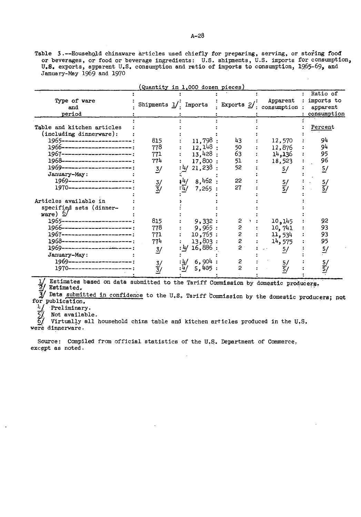Table 3.--Household chinaware articles used chiefly for preparing, serving, or storing food or beverages, or food or beverage ingredients: U.S. shipments, U.S. imports for consumption, U.S. exports, apparent U.S. consumption and ratio of imports to consumption, 1965-69, and January-May 1969 and 1970

|                                                                                                                                                                                                                                                                                                          | Quantity in 1,000 dozen pieces)                          |                                                                                            |                                                                             |                                                                        |                                                                   |
|----------------------------------------------------------------------------------------------------------------------------------------------------------------------------------------------------------------------------------------------------------------------------------------------------------|----------------------------------------------------------|--------------------------------------------------------------------------------------------|-----------------------------------------------------------------------------|------------------------------------------------------------------------|-------------------------------------------------------------------|
| Type of ware<br>and<br>period                                                                                                                                                                                                                                                                            |                                                          |                                                                                            |                                                                             | Apparent<br>Shipments $1/$ . Imports : Exports $2/$ : consumption :    | Ratio of<br>imports to<br>apparent<br>consumption                 |
| Table and kitchen articles<br>(including dinnerware):<br>1965-------------------------<br>1966-----------------------:<br>1967-----------------------<br>1968-----------------------<br>1969-----------------------<br>January-May:<br>1969---------------------:<br>1970---------------------:          | 815<br>778<br>771<br>774<br>3/<br>$\frac{3}{3}$          | 11,798:<br>$12,148$ :<br>13,428:<br>17,800:<br>:4/21,238:<br>$14/8,462$ :<br>:म/<br>7,265: | 43<br>50<br>63<br>51<br>52<br>22<br>27                                      | 12,570<br>12,876<br>14,136<br>18,523<br>$\frac{5}{ }$<br>$\frac{5}{5}$ | Percent<br>94<br>94<br>95<br>96<br>$\frac{5}{ }$<br>$\frac{5}{5}$ |
| Articles available in<br>specified sets (dinner-<br>ware) $\Omega$<br>1965-----------------------<br>1966------------------------<br>1967-----------------------<br>1968-----------------------<br>1969-----------------------<br>January-May:<br>1969---------------------<br>1970--------------------; | 815<br>778<br>771<br>774<br>$\dot{3}$ /<br>$\frac{3}{3}$ | 9,332:<br>9,965:<br>10,755:<br>13,803:<br>:4/16,886:<br>6,904:<br>: 4/<br>: 4/<br>5,405:   | $\overline{c}$<br>s<br>s<br>s<br>s<br>$\overline{2}$<br>2<br>$\overline{c}$ | 10, 145<br>10,741<br>11,534<br>14,575<br>5/<br>$\frac{5}{5}$           | 92<br>93<br>93<br>95<br>$\frac{5}{2}$<br>$\frac{5}{5}$            |

 $\frac{1}{2}$  Estimates Estimates based on data submitted to the Tariff Commission by domestic producers.

3/ Data submitted in confidence to the U.S. Tariff Commission by the domestic producers; not for publication.<br>
4 Preliminary.<br>
5 Not available<br>
5 Virtually al

Not available.

Virtually all household china table and kitchen articles produced in the U.S. were dinnerware.

Source: Compiled from official statistics of the U.S. Department of Commerce. except as noted.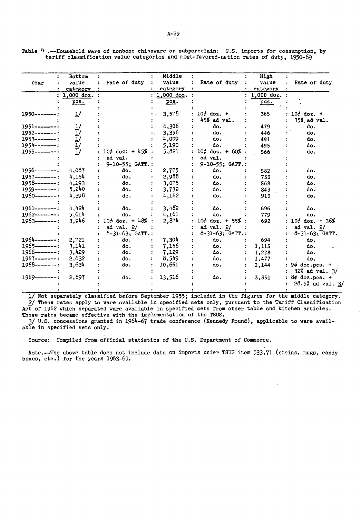Table  $4$  .--Household ware of nonbone chinaware or subporcelain: U.S. imports for consumption, by tariff classification value categories and most-favored-nation rates of duty, 1950-69

|                    | Bottom    |                        | Middle       |                    | High       |                       |
|--------------------|-----------|------------------------|--------------|--------------------|------------|-----------------------|
| Year               | value     | Rate of duty           | value        | Rate of duty       | value      | Rate of duty          |
|                    | category  |                        | category     |                    | category   |                       |
|                    | ,000 doz. |                        | $1,000$ doz. |                    | 1,000 doz. |                       |
|                    | pcs.      |                        | pcs.         |                    | pcs.       |                       |
| 1950-------:       | "         |                        | 3,578        | $10¢$ doz. +       | 365        | 10¢ doz. +            |
|                    |           |                        |              | 45% ad val.        |            | 35% ad val.           |
| 1951--------:      |           |                        | 4,306        | do.                | 479        | do.                   |
| $1952$ -------:    |           |                        | 3,356        | do.                | 446        | do.                   |
| $1953-----:$       |           |                        | 4,009        | do.                | 491        | do.                   |
| 1954--------:      |           |                        | 5,190        | do.                | 495        | do.                   |
| 1955-------:       | リリリリン     | 10¢ doz. + 45% :       | 5,821        | $10¢$ doz. + 60%   | 566        | do.                   |
|                    |           | ad val.                |              | ad val.            |            |                       |
|                    |           | 9-10-55; GATT.:        |              | 9-10-55; GATT.:    |            |                       |
| 1956-------:       | 4,087     | do.                    | 2,775        | do.                | 582        | do.                   |
| 1957-------:       | 4,154     | do.                    | 2,988        | đο.                | 733        | do.                   |
| $1958$ -------:    | 4,193     | do.                    | 3,075        | do.                | 568        | do.                   |
| 1959-------:       | 5,240     | do.                    | 3,732        | do.                | 843        | do.                   |
| 1960-------:       | 4,398     | do.                    | 4,162        | do.                | 913        | do.                   |
|                    |           |                        |              |                    |            |                       |
| 1961--------:      | 4,424     | do.                    | 3,482        | do.                | 696        | do.                   |
| 1962--------:      | 5,614     | do.                    | 4,161        | do.                | 779        | do.                   |
| 1963--------:      | 3,946     | $10¢$ doz. + 48% :     | 2,874        | $10¢$ doz. + 55% : | 692        | 10¢ doz. + 36%        |
|                    |           | ad $val. 2/$           |              | ad val. 2/         |            | ad val. $2/$          |
|                    |           | $8 - 31 - 63$ ; GATT.: |              | 8-31-63; GATT.:    |            | $8 - 31 - 63$ ; GATT. |
| 1964-------:       | 2,721     | do.                    | 7,304        | do.                | 694        | do.                   |
| 1965-------:       | 3,141     | do.                    | 7,156        | do.                | 1,115      | do.                   |
| $1966$ -------:    | 3,429     | do.                    | 7,129        | do.                | 1,228      | do.                   |
| $1967 - - - - - -$ | 2,632     | do.                    | 8,549        | do.                | 1,477      | do.                   |
| $1968$ -------:    | 3,634     | do.                    | 10,661       | do.                | 2,144      | $9¢$ doz.pcs. +       |
|                    |           |                        |              |                    |            | $32%$ ad val. $3/$    |
| $1969$ -------:    | 2,897     | do.                    | 13,516       | do.                | 3,351      | $8¢$ doz.pcs. +       |
|                    |           |                        |              |                    |            | 28.5% ad val. $3/$    |
|                    |           |                        |              |                    |            |                       |

1/ Not separately classified before September 1955; included in the figures for the middle category.  $\frac{2}{7}$  These rates apply to ware available in specified sets only, pursuant to the Tariff Classification Act of 1962 which separated ware available in specified sets from other table and kitchen articles. These rates became effective with the implementation of the TSUS.

]/U.S. concessions granted in 1964-67 trade conference (Kennedy Round), applicable to ware available in specified sets only.

Source: Compiled from official statistics of the U.S. Department of Commerce.

Note.--The above table does not include data on imports under TSUS item 533,71 (steins, mugs, candy boxes, etc.) for the years 1963-69.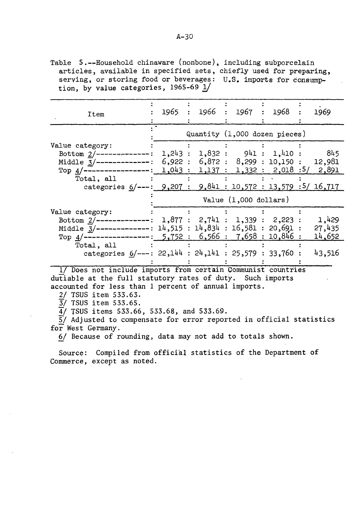Table S.--Household chinaware (nonbone), including subporcelain articles, available in specified sets, chiefly used for preparing, serving, or storing food or beverages: U.S. imports for consumption, by value categories,  $1965-69$   $\frac{1}{ }$ 

| Item                                                                      |  | 1965 : 1966 : 1967 : 1968       | 1969<br>$\ddot{\phantom{a}}$              |
|---------------------------------------------------------------------------|--|---------------------------------|-------------------------------------------|
|                                                                           |  | Quantity (1,000 dozen pieces)   |                                           |
| Value category:                                                           |  |                                 |                                           |
| Bottom $2/$ --------------:                                               |  |                                 | 1,243 : 1,832 : 941 : 1,410 : 845         |
| Middle $3/$ --------------:                                               |  |                                 | $6,922 : 6,872 : 8,299 : 10,150 : 12,981$ |
| Top $4/$ -----------------:                                               |  |                                 | $1,043 : 1,137 : 1,332 : 2,018 : 5/2,891$ |
| Total, all                                                                |  |                                 |                                           |
| categories $6/---: 9,207:$                                                |  |                                 | 9,841:10,572:13,579:5/16,717              |
|                                                                           |  | Value $(1,000$ dollars)         |                                           |
| Value category:                                                           |  |                                 |                                           |
| Bottom $2/$ -------                                                       |  | 1,877 : 2,741 : 1,339 : 2,223 : | 1,429                                     |
| Middle $\overline{3}/$ -------------: 14,515 : 14,834 : 16,581 : 20,691 : |  |                                 | 27,435                                    |
| Top $4/-$ ----------------: 5,752: 6,566: 7,658: 10,846:                  |  |                                 | 14,652                                    |
| Total, all                                                                |  |                                 |                                           |
| categories $6/---: 22,144 : 24,141 : 25,579 : 33,760 :$                   |  |                                 | 43,516                                    |
|                                                                           |  |                                 |                                           |

1/ Does not include imports from certain Communist countries dutiable at the full statutory rates of duty. Such imports accounted for less than 1 percent of annual imports.

2/ TSUS item 533.63.

 $\frac{3}{2}$ / TSUS item 533.65.

 $\overline{4}$ / TSUS items 533.66, 533.68, and 533.69.

S/ Adjusted to compensate for error reported in official statistics for West Germany.

§.! Because of rounding, data may not add to totals shown.

Source: Compiled from official statistics of the Department of Commerce, except as noted.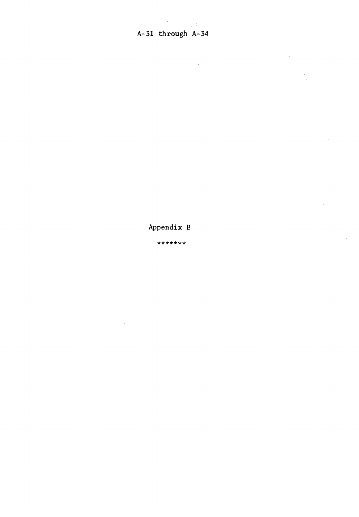$\mathcal{L}^{(2)}$ 

 $\sim$ 

Appendix B

\*\*\*\*\*\*\*